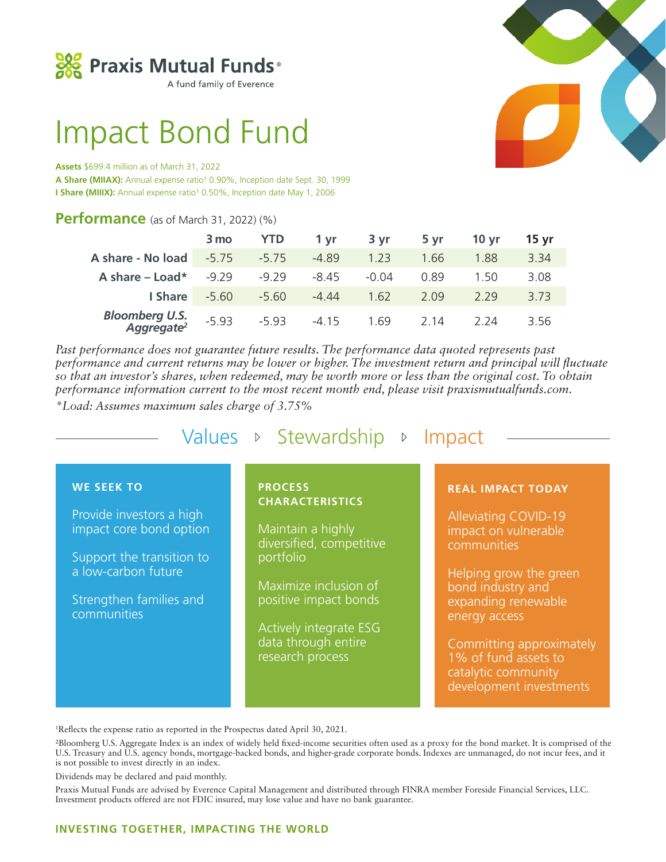

A fund family of Everence

# Impact Bond Fund

#### **Assets** \$699.4 million as of March 31, 2022

A Share (MIIAX): Annual expense ratio<sup>1</sup> 0.90%, Inception date Sept. 30, 1999 **I Share (MIIIX):** Annual expense ratio<sup>1</sup> 0.50%, Inception date May 1, 2006

## **Performance** (as of March 31, 2022) (%)

|                                                 | 3 mo    | <b>YTD</b> | 1 vr    | 3 yr    | 5 vr | 10 <sub>vr</sub> | 15 yr |
|-------------------------------------------------|---------|------------|---------|---------|------|------------------|-------|
| A share - No load                               | $-5.75$ | $-5.75$    | $-4.89$ | 1.23    | 1.66 | 1.88             | 3.34  |
| A share $-$ Load*                               | $-9,79$ | $-9,79$    | $-8.45$ | $-0.04$ | 0.89 | 1.50             | 3.08  |
| I Share                                         | -5.60   | $-5.60$    | $-4.44$ | 1.62    | 2.09 | 229              | 3.73  |
| <b>Bloomberg U.S.</b><br>Aggregate <sup>2</sup> | $-5.93$ | $-593$     | $-4.15$ | 1.69    | 2 14 | 2 24             | 3.56  |

*Past performance does not guarantee future results. The performance data quoted represents past performance and current returns may be lower or higher. The investment return and principal will fluctuate so that an investor's shares, when redeemed, may be worth more or less than the original cost. To obtain performance information current to the most recent month end, please visit praxismutualfunds.com.* 

*\*Load: Assumes maximum sales charge of 3.75%*

**WE SEEK TO** Provide investors a high impact core bond option Support the transition to a low-carbon future Strengthen families and communities **PROCESS CHARACTERISTICS** Maintain a highly diversified, competitive portfolio Maximize inclusion of positive impact bonds **REAL IMPACT TODAY** Alleviating COVID-19 impact on vulnerable communities Helping grow the green bond industry and expanding renewable Values  $\triangleright$  Stewardship  $\triangleright$  Impact

> Actively integrate ESG data through entire research process

energy access

Committing approximately 1% of fund assets to catalytic community development investments

1 Reflects the expense ratio as reported in the Prospectus dated April 30, 2021.

2Bloomberg U.S. Aggregate Index is an index of widely held fixed-income securities often used as a proxy for the bond market. It is comprised of the U.S. Treasury and U.S. agency bonds, mortgage-backed bonds, and higher-grade corporate bonds. Indexes are unmanaged, do not incur fees, and it is not possible to invest directly in an index.

Dividends may be declared and paid monthly.

Praxis Mutual Funds are advised by Everence Capital Management and distributed through FINRA member Foreside Financial Services, LLC. Investment products offered are not FDIC insured, may lose value and have no bank guarantee.